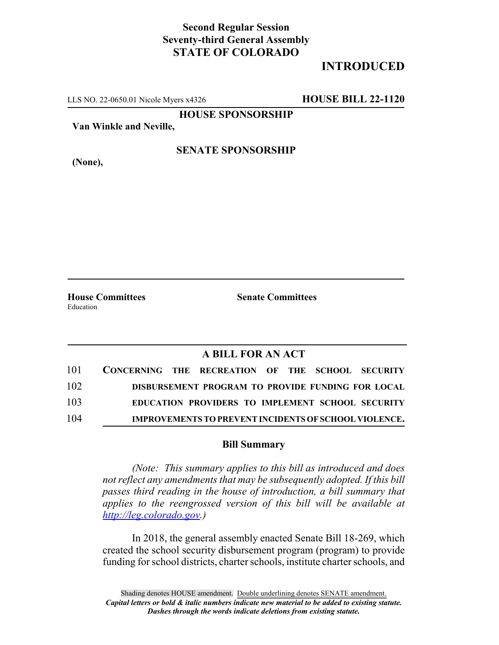## **Second Regular Session Seventy-third General Assembly STATE OF COLORADO**

# **INTRODUCED**

LLS NO. 22-0650.01 Nicole Myers x4326 **HOUSE BILL 22-1120**

**HOUSE SPONSORSHIP**

**Van Winkle and Neville,**

#### **SENATE SPONSORSHIP**

**(None),**

**House Committees Senate Committees** Education

### **A BILL FOR AN ACT**

| 101 | CONCERNING THE RECREATION OF THE SCHOOL SECURITY |  |  |  |                                                              |
|-----|--------------------------------------------------|--|--|--|--------------------------------------------------------------|
| 102 |                                                  |  |  |  | DISBURSEMENT PROGRAM TO PROVIDE FUNDING FOR LOCAL            |
| 103 |                                                  |  |  |  | EDUCATION PROVIDERS TO IMPLEMENT SCHOOL SECURITY             |
| 104 |                                                  |  |  |  | <b>IMPROVEMENTS TO PREVENT INCIDENTS OF SCHOOL VIOLENCE.</b> |

#### **Bill Summary**

*(Note: This summary applies to this bill as introduced and does not reflect any amendments that may be subsequently adopted. If this bill passes third reading in the house of introduction, a bill summary that applies to the reengrossed version of this bill will be available at http://leg.colorado.gov.)*

In 2018, the general assembly enacted Senate Bill 18-269, which created the school security disbursement program (program) to provide funding for school districts, charter schools, institute charter schools, and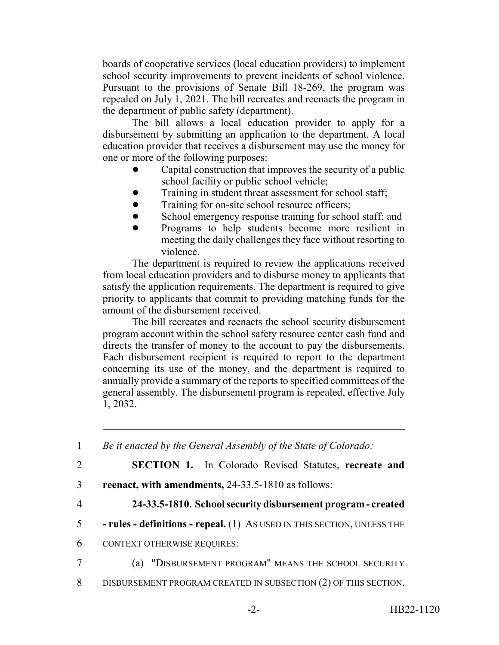boards of cooperative services (local education providers) to implement school security improvements to prevent incidents of school violence. Pursuant to the provisions of Senate Bill 18-269, the program was repealed on July 1, 2021. The bill recreates and reenacts the program in the department of public safety (department).

The bill allows a local education provider to apply for a disbursement by submitting an application to the department. A local education provider that receives a disbursement may use the money for one or more of the following purposes:

- Capital construction that improves the security of a public school facility or public school vehicle;
- Training in student threat assessment for school staff;
- Training for on-site school resource officers;
- School emergency response training for school staff; and
- ! Programs to help students become more resilient in meeting the daily challenges they face without resorting to violence.

The department is required to review the applications received from local education providers and to disburse money to applicants that satisfy the application requirements. The department is required to give priority to applicants that commit to providing matching funds for the amount of the disbursement received.

The bill recreates and reenacts the school security disbursement program account within the school safety resource center cash fund and directs the transfer of money to the account to pay the disbursements. Each disbursement recipient is required to report to the department concerning its use of the money, and the department is required to annually provide a summary of the reports to specified committees of the general assembly. The disbursement program is repealed, effective July 1, 2032.

| $\mathbf{1}$   | Be it enacted by the General Assembly of the State of Colorado:         |  |  |  |  |  |  |
|----------------|-------------------------------------------------------------------------|--|--|--|--|--|--|
| 2              | <b>SECTION 1.</b> In Colorado Revised Statutes, recreate and            |  |  |  |  |  |  |
| 3              | reenact, with amendments, 24-33.5-1810 as follows:                      |  |  |  |  |  |  |
| $\overline{4}$ | 24-33.5-1810. School security disbursement program - created            |  |  |  |  |  |  |
| 5              | - rules - definitions - repeal. (1) As USED IN THIS SECTION, UNLESS THE |  |  |  |  |  |  |
| 6              | <b>CONTEXT OTHERWISE REQUIRES:</b>                                      |  |  |  |  |  |  |
| $\overline{7}$ | (a) "DISBURSEMENT PROGRAM" MEANS THE SCHOOL SECURITY                    |  |  |  |  |  |  |
| 8              | DISBURSEMENT PROGRAM CREATED IN SUBSECTION (2) OF THIS SECTION.         |  |  |  |  |  |  |
|                |                                                                         |  |  |  |  |  |  |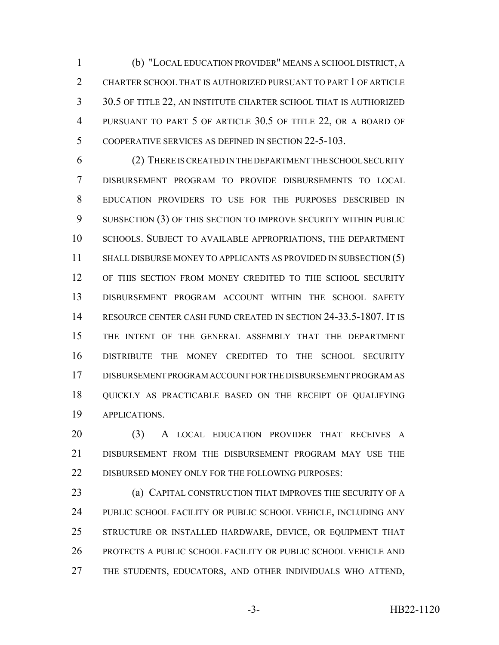(b) "LOCAL EDUCATION PROVIDER" MEANS A SCHOOL DISTRICT, A CHARTER SCHOOL THAT IS AUTHORIZED PURSUANT TO PART 1 OF ARTICLE 30.5 OF TITLE 22, AN INSTITUTE CHARTER SCHOOL THAT IS AUTHORIZED PURSUANT TO PART 5 OF ARTICLE 30.5 OF TITLE 22, OR A BOARD OF COOPERATIVE SERVICES AS DEFINED IN SECTION 22-5-103.

 (2) THERE IS CREATED IN THE DEPARTMENT THE SCHOOL SECURITY DISBURSEMENT PROGRAM TO PROVIDE DISBURSEMENTS TO LOCAL EDUCATION PROVIDERS TO USE FOR THE PURPOSES DESCRIBED IN 9 SUBSECTION (3) OF THIS SECTION TO IMPROVE SECURITY WITHIN PUBLIC SCHOOLS. SUBJECT TO AVAILABLE APPROPRIATIONS, THE DEPARTMENT 11 SHALL DISBURSE MONEY TO APPLICANTS AS PROVIDED IN SUBSECTION (5) OF THIS SECTION FROM MONEY CREDITED TO THE SCHOOL SECURITY DISBURSEMENT PROGRAM ACCOUNT WITHIN THE SCHOOL SAFETY RESOURCE CENTER CASH FUND CREATED IN SECTION 24-33.5-1807. IT IS THE INTENT OF THE GENERAL ASSEMBLY THAT THE DEPARTMENT DISTRIBUTE THE MONEY CREDITED TO THE SCHOOL SECURITY DISBURSEMENT PROGRAM ACCOUNT FOR THE DISBURSEMENT PROGRAM AS QUICKLY AS PRACTICABLE BASED ON THE RECEIPT OF QUALIFYING APPLICATIONS.

 (3) A LOCAL EDUCATION PROVIDER THAT RECEIVES A DISBURSEMENT FROM THE DISBURSEMENT PROGRAM MAY USE THE 22 DISBURSED MONEY ONLY FOR THE FOLLOWING PURPOSES:

 (a) CAPITAL CONSTRUCTION THAT IMPROVES THE SECURITY OF A PUBLIC SCHOOL FACILITY OR PUBLIC SCHOOL VEHICLE, INCLUDING ANY STRUCTURE OR INSTALLED HARDWARE, DEVICE, OR EQUIPMENT THAT PROTECTS A PUBLIC SCHOOL FACILITY OR PUBLIC SCHOOL VEHICLE AND THE STUDENTS, EDUCATORS, AND OTHER INDIVIDUALS WHO ATTEND,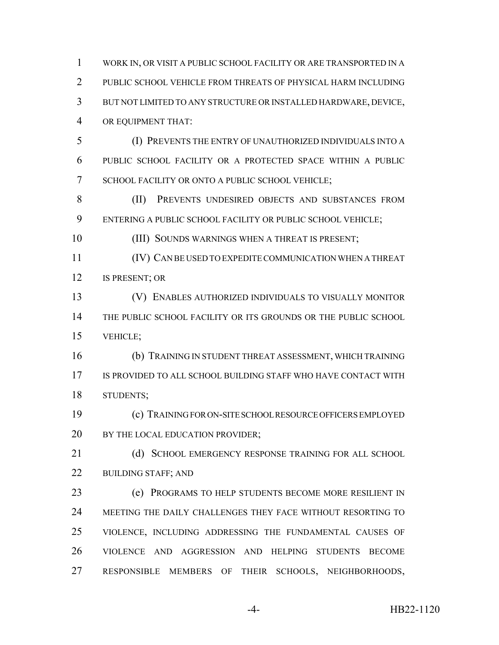PUBLIC SCHOOL VEHICLE FROM THREATS OF PHYSICAL HARM INCLUDING BUT NOT LIMITED TO ANY STRUCTURE OR INSTALLED HARDWARE, DEVICE, OR EQUIPMENT THAT: (I) PREVENTS THE ENTRY OF UNAUTHORIZED INDIVIDUALS INTO A PUBLIC SCHOOL FACILITY OR A PROTECTED SPACE WITHIN A PUBLIC SCHOOL FACILITY OR ONTO A PUBLIC SCHOOL VEHICLE; (II) PREVENTS UNDESIRED OBJECTS AND SUBSTANCES FROM ENTERING A PUBLIC SCHOOL FACILITY OR PUBLIC SCHOOL VEHICLE; 10 (III) SOUNDS WARNINGS WHEN A THREAT IS PRESENT; (IV) CAN BE USED TO EXPEDITE COMMUNICATION WHEN A THREAT IS PRESENT; OR (V) ENABLES AUTHORIZED INDIVIDUALS TO VISUALLY MONITOR THE PUBLIC SCHOOL FACILITY OR ITS GROUNDS OR THE PUBLIC SCHOOL VEHICLE; (b) TRAINING IN STUDENT THREAT ASSESSMENT, WHICH TRAINING IS PROVIDED TO ALL SCHOOL BUILDING STAFF WHO HAVE CONTACT WITH STUDENTS; (c) TRAINING FOR ON-SITE SCHOOL RESOURCE OFFICERS EMPLOYED 20 BY THE LOCAL EDUCATION PROVIDER; 21 (d) SCHOOL EMERGENCY RESPONSE TRAINING FOR ALL SCHOOL 22 BUILDING STAFF; AND (e) PROGRAMS TO HELP STUDENTS BECOME MORE RESILIENT IN MEETING THE DAILY CHALLENGES THEY FACE WITHOUT RESORTING TO VIOLENCE, INCLUDING ADDRESSING THE FUNDAMENTAL CAUSES OF VIOLENCE AND AGGRESSION AND HELPING STUDENTS BECOME RESPONSIBLE MEMBERS OF THEIR SCHOOLS, NEIGHBORHOODS,

WORK IN, OR VISIT A PUBLIC SCHOOL FACILITY OR ARE TRANSPORTED IN A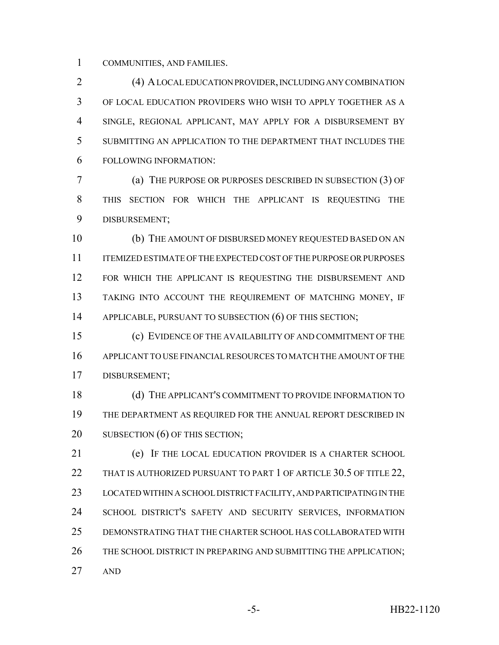COMMUNITIES, AND FAMILIES.

 (4) A LOCAL EDUCATION PROVIDER, INCLUDING ANY COMBINATION OF LOCAL EDUCATION PROVIDERS WHO WISH TO APPLY TOGETHER AS A SINGLE, REGIONAL APPLICANT, MAY APPLY FOR A DISBURSEMENT BY SUBMITTING AN APPLICATION TO THE DEPARTMENT THAT INCLUDES THE FOLLOWING INFORMATION:

 (a) THE PURPOSE OR PURPOSES DESCRIBED IN SUBSECTION (3) OF THIS SECTION FOR WHICH THE APPLICANT IS REQUESTING THE DISBURSEMENT;

 (b) THE AMOUNT OF DISBURSED MONEY REQUESTED BASED ON AN ITEMIZED ESTIMATE OF THE EXPECTED COST OF THE PURPOSE OR PURPOSES 12 FOR WHICH THE APPLICANT IS REQUESTING THE DISBURSEMENT AND TAKING INTO ACCOUNT THE REQUIREMENT OF MATCHING MONEY, IF 14 APPLICABLE, PURSUANT TO SUBSECTION (6) OF THIS SECTION;

 (c) EVIDENCE OF THE AVAILABILITY OF AND COMMITMENT OF THE APPLICANT TO USE FINANCIAL RESOURCES TO MATCH THE AMOUNT OF THE DISBURSEMENT;

18 (d) THE APPLICANT'S COMMITMENT TO PROVIDE INFORMATION TO THE DEPARTMENT AS REQUIRED FOR THE ANNUAL REPORT DESCRIBED IN 20 SUBSECTION (6) OF THIS SECTION;

 (e) IF THE LOCAL EDUCATION PROVIDER IS A CHARTER SCHOOL 22 THAT IS AUTHORIZED PURSUANT TO PART 1 OF ARTICLE 30.5 OF TITLE 22, LOCATED WITHIN A SCHOOL DISTRICT FACILITY, AND PARTICIPATING IN THE SCHOOL DISTRICT'S SAFETY AND SECURITY SERVICES, INFORMATION DEMONSTRATING THAT THE CHARTER SCHOOL HAS COLLABORATED WITH 26 THE SCHOOL DISTRICT IN PREPARING AND SUBMITTING THE APPLICATION; AND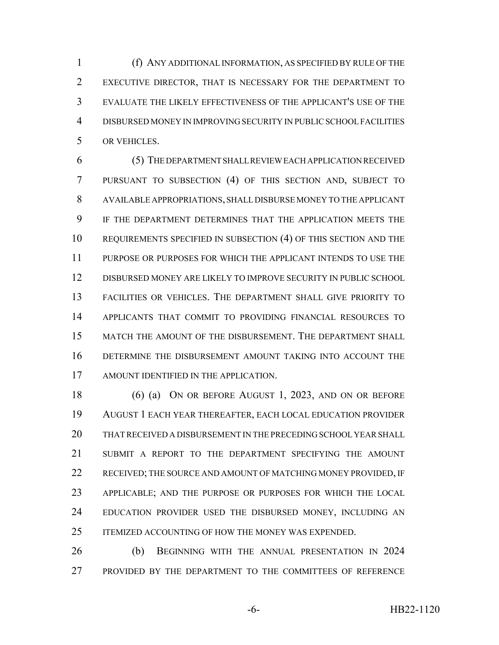(f) ANY ADDITIONAL INFORMATION, AS SPECIFIED BY RULE OF THE EXECUTIVE DIRECTOR, THAT IS NECESSARY FOR THE DEPARTMENT TO EVALUATE THE LIKELY EFFECTIVENESS OF THE APPLICANT'S USE OF THE DISBURSED MONEY IN IMPROVING SECURITY IN PUBLIC SCHOOL FACILITIES OR VEHICLES.

 (5) THE DEPARTMENT SHALL REVIEW EACH APPLICATION RECEIVED PURSUANT TO SUBSECTION (4) OF THIS SECTION AND, SUBJECT TO AVAILABLE APPROPRIATIONS, SHALL DISBURSE MONEY TO THE APPLICANT IF THE DEPARTMENT DETERMINES THAT THE APPLICATION MEETS THE REQUIREMENTS SPECIFIED IN SUBSECTION (4) OF THIS SECTION AND THE PURPOSE OR PURPOSES FOR WHICH THE APPLICANT INTENDS TO USE THE DISBURSED MONEY ARE LIKELY TO IMPROVE SECURITY IN PUBLIC SCHOOL FACILITIES OR VEHICLES. THE DEPARTMENT SHALL GIVE PRIORITY TO APPLICANTS THAT COMMIT TO PROVIDING FINANCIAL RESOURCES TO MATCH THE AMOUNT OF THE DISBURSEMENT. THE DEPARTMENT SHALL DETERMINE THE DISBURSEMENT AMOUNT TAKING INTO ACCOUNT THE AMOUNT IDENTIFIED IN THE APPLICATION.

 (6) (a) ON OR BEFORE AUGUST 1, 2023, AND ON OR BEFORE AUGUST 1 EACH YEAR THEREAFTER, EACH LOCAL EDUCATION PROVIDER THAT RECEIVED A DISBURSEMENT IN THE PRECEDING SCHOOL YEAR SHALL SUBMIT A REPORT TO THE DEPARTMENT SPECIFYING THE AMOUNT 22 RECEIVED; THE SOURCE AND AMOUNT OF MATCHING MONEY PROVIDED, IF APPLICABLE; AND THE PURPOSE OR PURPOSES FOR WHICH THE LOCAL 24 EDUCATION PROVIDER USED THE DISBURSED MONEY, INCLUDING AN ITEMIZED ACCOUNTING OF HOW THE MONEY WAS EXPENDED.

 (b) BEGINNING WITH THE ANNUAL PRESENTATION IN 2024 PROVIDED BY THE DEPARTMENT TO THE COMMITTEES OF REFERENCE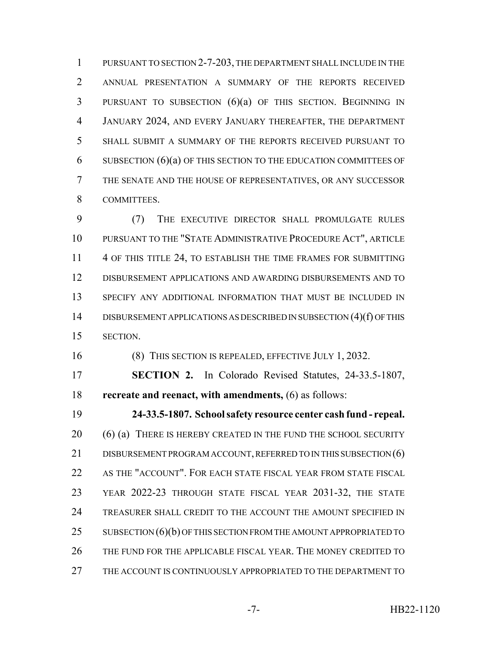PURSUANT TO SECTION 2-7-203, THE DEPARTMENT SHALL INCLUDE IN THE ANNUAL PRESENTATION A SUMMARY OF THE REPORTS RECEIVED PURSUANT TO SUBSECTION (6)(a) OF THIS SECTION. BEGINNING IN JANUARY 2024, AND EVERY JANUARY THEREAFTER, THE DEPARTMENT SHALL SUBMIT A SUMMARY OF THE REPORTS RECEIVED PURSUANT TO SUBSECTION (6)(a) OF THIS SECTION TO THE EDUCATION COMMITTEES OF THE SENATE AND THE HOUSE OF REPRESENTATIVES, OR ANY SUCCESSOR COMMITTEES.

 (7) THE EXECUTIVE DIRECTOR SHALL PROMULGATE RULES PURSUANT TO THE "STATE ADMINISTRATIVE PROCEDURE ACT", ARTICLE 11 4 OF THIS TITLE 24, TO ESTABLISH THE TIME FRAMES FOR SUBMITTING DISBURSEMENT APPLICATIONS AND AWARDING DISBURSEMENTS AND TO SPECIFY ANY ADDITIONAL INFORMATION THAT MUST BE INCLUDED IN DISBURSEMENT APPLICATIONS AS DESCRIBED IN SUBSECTION (4)(f) OF THIS SECTION.

(8) THIS SECTION IS REPEALED, EFFECTIVE JULY 1, 2032.

 **SECTION 2.** In Colorado Revised Statutes, 24-33.5-1807, **recreate and reenact, with amendments,** (6) as follows:

 **24-33.5-1807. School safety resource center cash fund - repeal.** 20 (6) (a) THERE IS HEREBY CREATED IN THE FUND THE SCHOOL SECURITY 21 DISBURSEMENT PROGRAM ACCOUNT, REFERRED TO IN THIS SUBSECTION (6) AS THE "ACCOUNT". FOR EACH STATE FISCAL YEAR FROM STATE FISCAL YEAR 2022-23 THROUGH STATE FISCAL YEAR 2031-32, THE STATE TREASURER SHALL CREDIT TO THE ACCOUNT THE AMOUNT SPECIFIED IN 25 SUBSECTION (6)(b) OF THIS SECTION FROM THE AMOUNT APPROPRIATED TO THE FUND FOR THE APPLICABLE FISCAL YEAR. THE MONEY CREDITED TO THE ACCOUNT IS CONTINUOUSLY APPROPRIATED TO THE DEPARTMENT TO